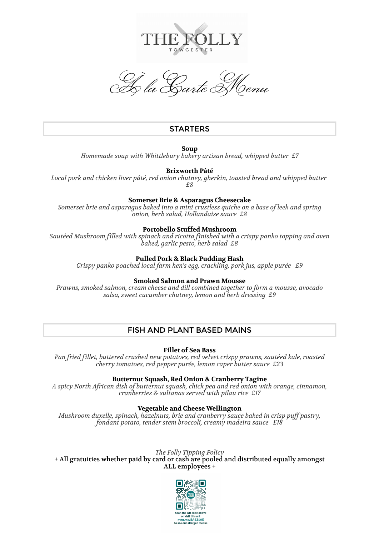

À la Carte Menu

# **STARTERS**

**Soup**

*Homemade soup with Whittlebury bakery artisan bread, whipped butter £7*

# **Brixworth Pâté**

*Local pork and chicken liver pâté, red onion chutney, gherkin, toasted bread and whipped butter £8*

### **Somerset Brie & Asparagus Cheesecake**

*Somerset brie and asparagus baked into a mini crustless quiche on a base of leek and spring onion, herb salad, Hollandaise sauce £8*

## **Portobello Stuffed Mushroom**

*Sautéed Mushroom filled with spinach and ricotta finished with a crispy panko topping and oven baked, garlic pesto, herb salad £8*

## **Pulled Pork & Black Pudding Hash**

*Crispy panko poached local farm hen's egg, crackling, pork jus, apple purée £9*

### **Smoked Salmon and Prawn Mousse**

*Prawns, smoked salmon, cream cheese and dill combined together to form a mousse, avocado salsa, sweet cucumber chutney, lemon and herb dressing £9*

# FISH AND PLANT BASED MAINS

**Fillet of Sea Bass**

*Pan fried fillet, buttered crushed new potatoes, red velvet crispy prawns, sautéed kale, roasted cherry tomatoes, red pepper purée, lemon caper butter sauce £23*

## **Butternut Squash, Red Onion & Cranberry Tagine**

*A spicy North African dish of butternut squash, chick pea and red onion with orange, cinnamon, cranberries & sultanas served with pilau rice £17*

### **Vegetable and Cheese Wellington**

*Mushroom duxelle, spinach, hazelnuts, brie and cranberry sauce baked in crisp puff pastry, fondant potato, tender stem broccoli, creamy madeira sauce £18*

# *The Folly Tipping Policy*

+ All gratuities whether paid by card or cash are pooled and distributed equally amongst ALL employees +